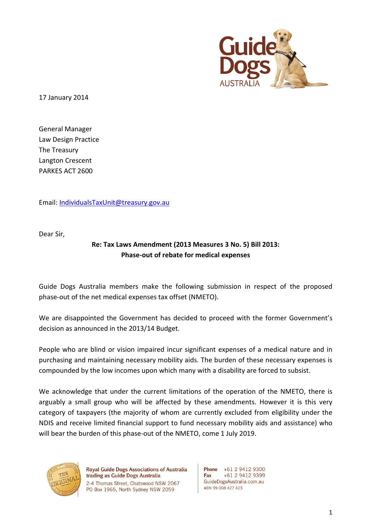

17 January 2014

General Manager Law Design Practice The Treasury Langton Crescent PARKES ACT 2600

Email: IndividualsTaxUnit@treasury.gov.au

Dear Sir,

## Re: Tax Laws Amendment (2013 Measures 3 No. 5) Bill 2013: Phase-out of rebate for medical expenses

Guide Dogs Australia members make the following submission in respect of the proposed phase-out of the net medical expenses tax offset (NMETO).

We are disappointed the Government has decided to proceed with the former Government's decision as announced in the 2013/14 Budget.

People who are blind or vision impaired incur significant expenses of a medical nature and in purchasing and maintaining necessary mobility aids. The burden of these necessary expenses is compounded by the low incomes upon which many with a disability are forced to subsist.

We acknowledge that under the current limitations of the operation of the NMETO, there is arguably a small group who will be affected by these amendments. However it is this very category of taxpayers (the majority of whom are currently excluded from eligibility under the NDIS and receive limited financial support to fund necessary mobility aids and assistance) who will bear the burden of this phase-out of the NMETO, come 1 July 2019.



Phone +61 2 9412 9300 +61 2 9412 9399 Fax GuideDogsAustralia.com.au ABN 99 008 427 423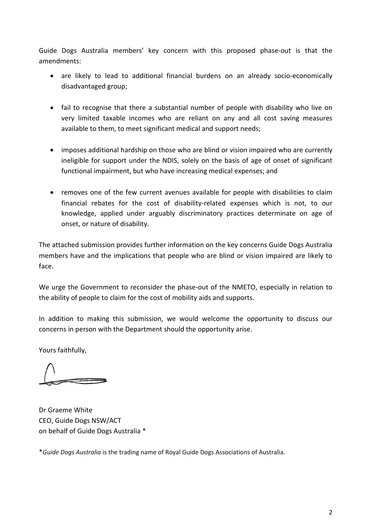Guide Dogs Australia members' key concern with this proposed phase-out is that the amendments:

- are likely to lead to additional financial burdens on an already socio-economically disadvantaged group;
- fail to recognise that there a substantial number of people with disability who live on very limited taxable incomes who are reliant on any and all cost saving measures available to them, to meet significant medical and support needs;
- imposes additional hardship on those who are blind or vision impaired who are currently ineligible for support under the NDIS, solely on the basis of age of onset of significant functional impairment, but who have increasing medical expenses; and
- removes one of the few current avenues available for people with disabilities to claim financial rebates for the cost of disability-related expenses which is not, to our knowledge, applied under arguably discriminatory practices determinate on age of onset, or nature of disability.

The attached submission provides further information on the key concerns Guide Dogs Australia members have and the implications that people who are blind or vision impaired are likely to face.

We urge the Government to reconsider the phase-out of the NMETO, especially in relation to the ability of people to claim for the cost of mobility aids and supports.

In addition to making this submission, we would welcome the opportunity to discuss our concerns in person with the Department should the opportunity arise.

Yours faithfully,

Dr Graeme White CEO, Guide Dogs NSW/ACT on behalf of Guide Dogs Australia \*

\*Guide Dogs Australia is the trading name of Royal Guide Dogs Associations of Australia.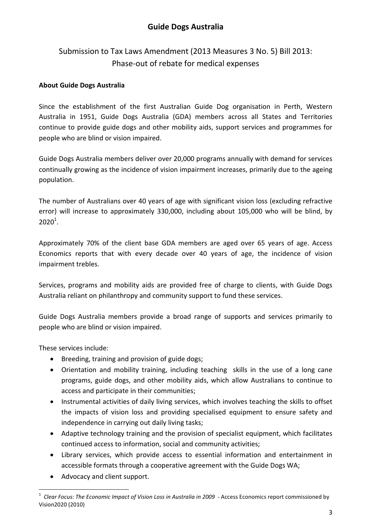## Guide Dogs Australia

# Submission to Tax Laws Amendment (2013 Measures 3 No. 5) Bill 2013: Phase-out of rebate for medical expenses

#### About Guide Dogs Australia

Since the establishment of the first Australian Guide Dog organisation in Perth, Western Australia in 1951, Guide Dogs Australia (GDA) members across all States and Territories continue to provide guide dogs and other mobility aids, support services and programmes for people who are blind or vision impaired.

Guide Dogs Australia members deliver over 20,000 programs annually with demand for services continually growing as the incidence of vision impairment increases, primarily due to the ageing population.

The number of Australians over 40 years of age with significant vision loss (excluding refractive error) will increase to approximately 330,000, including about 105,000 who will be blind, by  $2020^1$ .

Approximately 70% of the client base GDA members are aged over 65 years of age. Access Economics reports that with every decade over 40 years of age, the incidence of vision impairment trebles.

Services, programs and mobility aids are provided free of charge to clients, with Guide Dogs Australia reliant on philanthropy and community support to fund these services.

Guide Dogs Australia members provide a broad range of supports and services primarily to people who are blind or vision impaired.

These services include:

l

- Breeding, training and provision of guide dogs;
- Orientation and mobility training, including teaching skills in the use of a long cane programs, guide dogs, and other mobility aids, which allow Australians to continue to access and participate in their communities;
- Instrumental activities of daily living services, which involves teaching the skills to offset the impacts of vision loss and providing specialised equipment to ensure safety and independence in carrying out daily living tasks;
- Adaptive technology training and the provision of specialist equipment, which facilitates continued access to information, social and community activities;
- Library services, which provide access to essential information and entertainment in accessible formats through a cooperative agreement with the Guide Dogs WA;
- Advocacy and client support.

<sup>1</sup> Clear Focus: The Economic Impact of Vision Loss in Australia in 2009 - Access Economics report commissioned by Vision2020 (2010)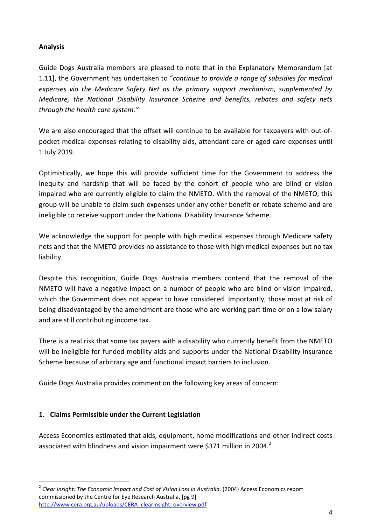#### Analysis

Guide Dogs Australia members are pleased to note that in the Explanatory Memorandum [at 1.11], the Government has undertaken to "continue to provide a range of subsidies for medical expenses via the Medicare Safety Net as the primary support mechanism, supplemented by Medicare, the National Disability Insurance Scheme and benefits, rebates and safety nets through the health care system."

We are also encouraged that the offset will continue to be available for taxpayers with out-ofpocket medical expenses relating to disability aids, attendant care or aged care expenses until 1 July 2019.

Optimistically, we hope this will provide sufficient time for the Government to address the inequity and hardship that will be faced by the cohort of people who are blind or vision impaired who are currently eligible to claim the NMETO. With the removal of the NMETO, this group will be unable to claim such expenses under any other benefit or rebate scheme and are ineligible to receive support under the National Disability Insurance Scheme.

We acknowledge the support for people with high medical expenses through Medicare safety nets and that the NMETO provides no assistance to those with high medical expenses but no tax liability.

Despite this recognition, Guide Dogs Australia members contend that the removal of the NMETO will have a negative impact on a number of people who are blind or vision impaired, which the Government does not appear to have considered. Importantly, those most at risk of being disadvantaged by the amendment are those who are working part time or on a low salary and are still contributing income tax.

There is a real risk that some tax payers with a disability who currently benefit from the NMETO will be ineligible for funded mobility aids and supports under the National Disability Insurance Scheme because of arbitrary age and functional impact barriers to inclusion.

Guide Dogs Australia provides comment on the following key areas of concern:

#### 1. Claims Permissible under the Current Legislation

Access Economics estimated that aids, equipment, home modifications and other indirect costs associated with blindness and vision impairment were \$371 million in 2004.<sup>2</sup>

 $^{\text{2}}$  Clear Insight: The Economic Impact and Cost of Vision Loss in Australia. (2004) Access Economics report commissioned by the Centre for Eye Research Australia, [pg 9] http://www.cera.org.au/uploads/CERA\_clearinsight\_overview.pdf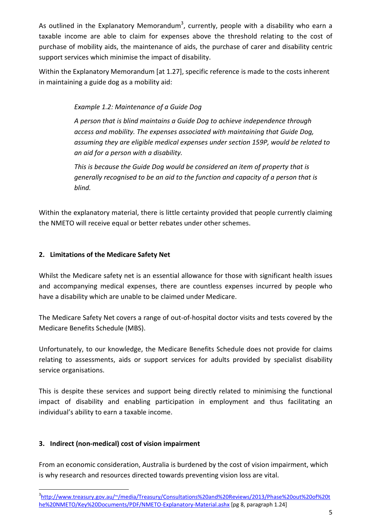As outlined in the Explanatory Memorandum<sup>3</sup>, currently, people with a disability who earn a taxable income are able to claim for expenses above the threshold relating to the cost of purchase of mobility aids, the maintenance of aids, the purchase of carer and disability centric support services which minimise the impact of disability.

Within the Explanatory Memorandum [at 1.27], specific reference is made to the costs inherent in maintaining a guide dog as a mobility aid:

#### Example 1.2: Maintenance of a Guide Dog

A person that is blind maintains a Guide Dog to achieve independence through access and mobility. The expenses associated with maintaining that Guide Dog, assuming they are eligible medical expenses under section 159P, would be related to an aid for a person with a disability.

This is because the Guide Dog would be considered an item of property that is generally recognised to be an aid to the function and capacity of a person that is blind.

Within the explanatory material, there is little certainty provided that people currently claiming the NMETO will receive equal or better rebates under other schemes.

#### 2. Limitations of the Medicare Safety Net

Whilst the Medicare safety net is an essential allowance for those with significant health issues and accompanying medical expenses, there are countless expenses incurred by people who have a disability which are unable to be claimed under Medicare.

The Medicare Safety Net covers a range of out-of-hospital doctor visits and tests covered by the Medicare Benefits Schedule (MBS).

Unfortunately, to our knowledge, the Medicare Benefits Schedule does not provide for claims relating to assessments, aids or support services for adults provided by specialist disability service organisations.

This is despite these services and support being directly related to minimising the functional impact of disability and enabling participation in employment and thus facilitating an individual's ability to earn a taxable income.

### 3. Indirect (non-medical) cost of vision impairment

l

From an economic consideration, Australia is burdened by the cost of vision impairment, which is why research and resources directed towards preventing vision loss are vital.

<sup>3</sup> http://www.treasury.gov.au/~/media/Treasury/Consultations%20and%20Reviews/2013/Phase%20out%20of%20t he%20NMETO/Key%20Documents/PDF/NMETO-Explanatory-Material.ashx [pg 8, paragraph 1.24]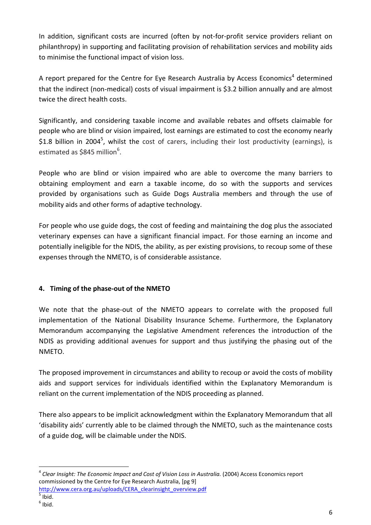In addition, significant costs are incurred (often by not-for-profit service providers reliant on philanthropy) in supporting and facilitating provision of rehabilitation services and mobility aids to minimise the functional impact of vision loss.

A report prepared for the Centre for Eye Research Australia by Access Economics<sup>4</sup> determined that the indirect (non-medical) costs of visual impairment is \$3.2 billion annually and are almost twice the direct health costs.

Significantly, and considering taxable income and available rebates and offsets claimable for people who are blind or vision impaired, lost earnings are estimated to cost the economy nearly \$1.8 billion in 2004<sup>5</sup>, whilst the cost of carers, including their lost productivity (earnings), is estimated as \$845 million<sup>6</sup>.

People who are blind or vision impaired who are able to overcome the many barriers to obtaining employment and earn a taxable income, do so with the supports and services provided by organisations such as Guide Dogs Australia members and through the use of mobility aids and other forms of adaptive technology.

For people who use guide dogs, the cost of feeding and maintaining the dog plus the associated veterinary expenses can have a significant financial impact. For those earning an income and potentially ineligible for the NDIS, the ability, as per existing provisions, to recoup some of these expenses through the NMETO, is of considerable assistance.

### 4. Timing of the phase-out of the NMETO

We note that the phase-out of the NMETO appears to correlate with the proposed full implementation of the National Disability Insurance Scheme. Furthermore, the Explanatory Memorandum accompanying the Legislative Amendment references the introduction of the NDIS as providing additional avenues for support and thus justifying the phasing out of the NMETO.

The proposed improvement in circumstances and ability to recoup or avoid the costs of mobility aids and support services for individuals identified within the Explanatory Memorandum is reliant on the current implementation of the NDIS proceeding as planned.

There also appears to be implicit acknowledgment within the Explanatory Memorandum that all 'disability aids' currently able to be claimed through the NMETO, such as the maintenance costs of a guide dog, will be claimable under the NDIS.

 $\overline{\phantom{a}}$ 

 $^4$  Clear Insight: The Economic Impact and Cost of Vision Loss in Australia. (2004) Access Economics report commissioned by the Centre for Eye Research Australia, [pg 9]

http://www.cera.org.au/uploads/CERA\_clearinsight\_overview.pdf 5

Ibid.

 $<sup>6</sup>$  Ibid.</sup>